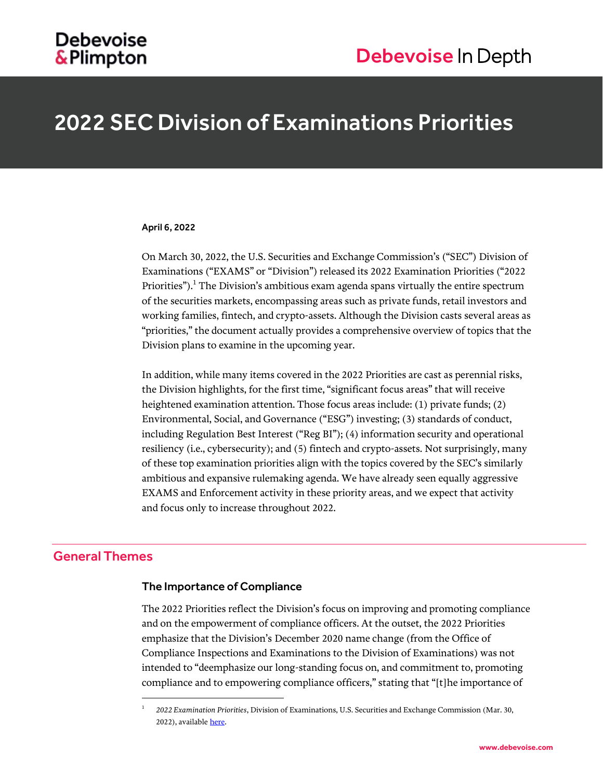## **Debevoise** &Plimpton

## 2022 SEC Division of Examinations Priorities

## April 6, 2022

On March 30, 2022, the U.S. Securities and Exchange Commission's ("SEC") Division of Examinations ("EXAMS" or "Division") released its 2022 Examination Priorities ("2022 Priorities"). $^1$  The Division's ambitious exam agenda spans virtually the entire spectrum of the securities markets, encompassing areas such as private funds, retail investors and working families, fintech, and crypto-assets. Although the Division casts several areas as "priorities," the document actually provides a comprehensive overview of topics that the Division plans to examine in the upcoming year.

In addition, while many items covered in the 2022 Priorities are cast as perennial risks, the Division highlights, for the first time, "significant focus areas" that will receive heightened examination attention. Those focus areas include: (1) private funds; (2) Environmental, Social, and Governance ("ESG") investing; (3) standards of conduct, including Regulation Best Interest ("Reg BI"); (4) information security and operational resiliency (i.e., cybersecurity); and (5) fintech and crypto-assets. Not surprisingly, many of these top examination priorities align with the topics covered by the SEC's similarly ambitious and expansive rulemaking agenda. We have already seen equally aggressive EXAMS and Enforcement activity in these priority areas, and we expect that activity and focus only to increase throughout 2022.

## General Themes

 $\overline{a}$ 

## The Importance of Compliance

The 2022 Priorities reflect the Division's focus on improving and promoting compliance and on the empowerment of compliance officers. At the outset, the 2022 Priorities emphasize that the Division's December 2020 name change (from the Office of Compliance Inspections and Examinations to the Division of Examinations) was not intended to "deemphasize our long-standing focus on, and commitment to, promoting compliance and to empowering compliance officers," stating that "[t]he importance of

<sup>1</sup> *2022 Examination Priorities*, Division of Examinations, U.S. Securities and Exchange Commission (Mar. 30, 2022), available [here.](https://www.sec.gov/files/2022-exam-priorities.pdf)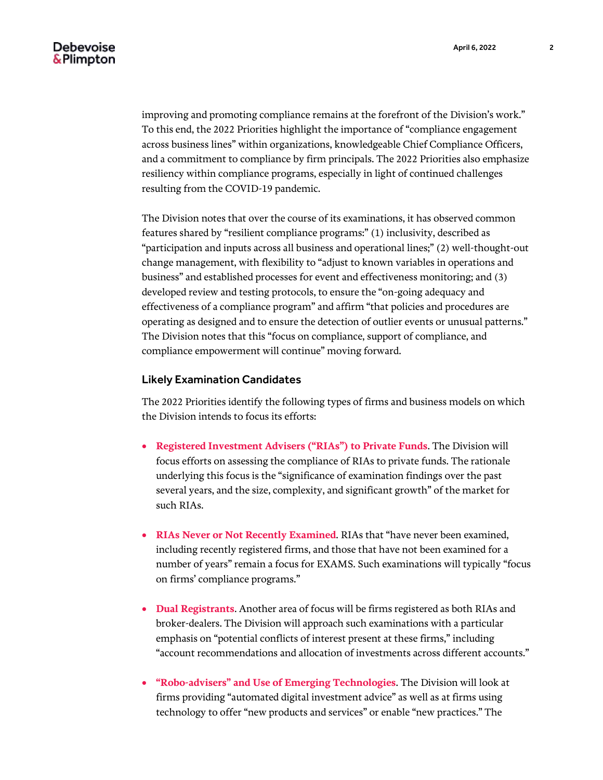improving and promoting compliance remains at the forefront of the Division's work." To this end, the 2022 Priorities highlight the importance of "compliance engagement across business lines" within organizations, knowledgeable Chief Compliance Officers, and a commitment to compliance by firm principals. The 2022 Priorities also emphasize resiliency within compliance programs, especially in light of continued challenges resulting from the COVID-19 pandemic.

The Division notes that over the course of its examinations, it has observed common features shared by "resilient compliance programs:" (1) inclusivity, described as "participation and inputs across all business and operational lines;" (2) well-thought-out change management, with flexibility to "adjust to known variables in operations and business" and established processes for event and effectiveness monitoring; and (3) developed review and testing protocols, to ensure the "on-going adequacy and effectiveness of a compliance program" and affirm "that policies and procedures are operating as designed and to ensure the detection of outlier events or unusual patterns." The Division notes that this "focus on compliance, support of compliance, and compliance empowerment will continue" moving forward.

### Likely Examination Candidates

The 2022 Priorities identify the following types of firms and business models on which the Division intends to focus its efforts:

- **Registered Investment Advisers ("RIAs") to Private Funds**. The Division will focus efforts on assessing the compliance of RIAs to private funds. The rationale underlying this focus is the "significance of examination findings over the past several years, and the size, complexity, and significant growth" of the market for such RIAs.
- **RIAs Never or Not Recently Examined**. RIAs that "have never been examined, including recently registered firms, and those that have not been examined for a number of years" remain a focus for EXAMS. Such examinations will typically "focus on firms' compliance programs."
- **Dual Registrants**. Another area of focus will be firms registered as both RIAs and broker-dealers. The Division will approach such examinations with a particular emphasis on "potential conflicts of interest present at these firms," including "account recommendations and allocation of investments across different accounts."
- **"Robo-advisers" and Use of Emerging Technologies**. The Division will look at firms providing "automated digital investment advice" as well as at firms using technology to offer "new products and services" or enable "new practices." The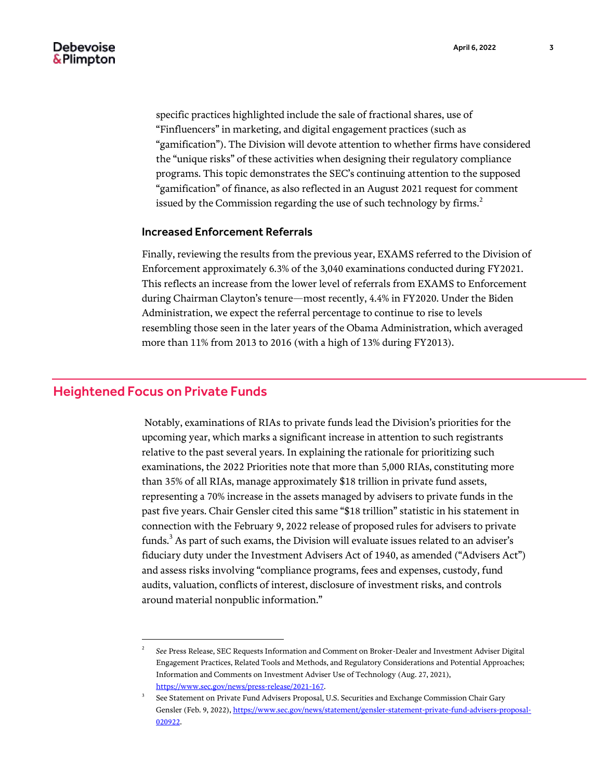specific practices highlighted include the sale of fractional shares, use of "Finfluencers" in marketing, and digital engagement practices (such as "gamification"). The Division will devote attention to whether firms have considered the "unique risks" of these activities when designing their regulatory compliance programs. This topic demonstrates the SEC's continuing attention to the supposed "gamification" of finance, as also reflected in an August 2021 request for comment issued by the Commission regarding the use of such technology by firms.<sup>2</sup>

#### Increased Enforcement Referrals

Finally, reviewing the results from the previous year, EXAMS referred to the Division of Enforcement approximately 6.3% of the 3,040 examinations conducted during FY2021. This reflects an increase from the lower level of referrals from EXAMS to Enforcement during Chairman Clayton's tenure—most recently, 4.4% in FY2020. Under the Biden Administration, we expect the referral percentage to continue to rise to levels resembling those seen in the later years of the Obama Administration, which averaged more than 11% from 2013 to 2016 (with a high of 13% during FY2013).

## Heightened Focus on Private Funds

l

Notably, examinations of RIAs to private funds lead the Division's priorities for the upcoming year, which marks a significant increase in attention to such registrants relative to the past several years. In explaining the rationale for prioritizing such examinations, the 2022 Priorities note that more than 5,000 RIAs, constituting more than 35% of all RIAs, manage approximately \$18 trillion in private fund assets, representing a 70% increase in the assets managed by advisers to private funds in the past five years. Chair Gensler cited this same "\$18 trillion" statistic in his statement in connection with the February 9, 2022 release of proposed rules for advisers to private funds.<sup>3</sup> As part of such exams, the Division will evaluate issues related to an adviser's fiduciary duty under the Investment Advisers Act of 1940, as amended ("Advisers Act") and assess risks involving "compliance programs, fees and expenses, custody, fund audits, valuation, conflicts of interest, disclosure of investment risks, and controls around material nonpublic information."

<sup>2</sup> *See* Press Release, SEC Requests Information and Comment on Broker-Dealer and Investment Adviser Digital Engagement Practices, Related Tools and Methods, and Regulatory Considerations and Potential Approaches; Information and Comments on Investment Adviser Use of Technology (Aug. 27, 2021), [https://www.sec.gov/news/press-release/2021-167.](https://www.sec.gov/news/press-release/2021-167)

<sup>3</sup> See Statement on Private Fund Advisers Proposal, U.S. Securities and Exchange Commission Chair Gary Gensler (Feb. 9, 2022)[, https://www.sec.gov/news/statement/gensler-statement-private-fund-advisers-proposal-](https://www.sec.gov/news/statement/gensler-statement-private-fund-advisers-proposal-020922)[020922.](https://www.sec.gov/news/statement/gensler-statement-private-fund-advisers-proposal-020922)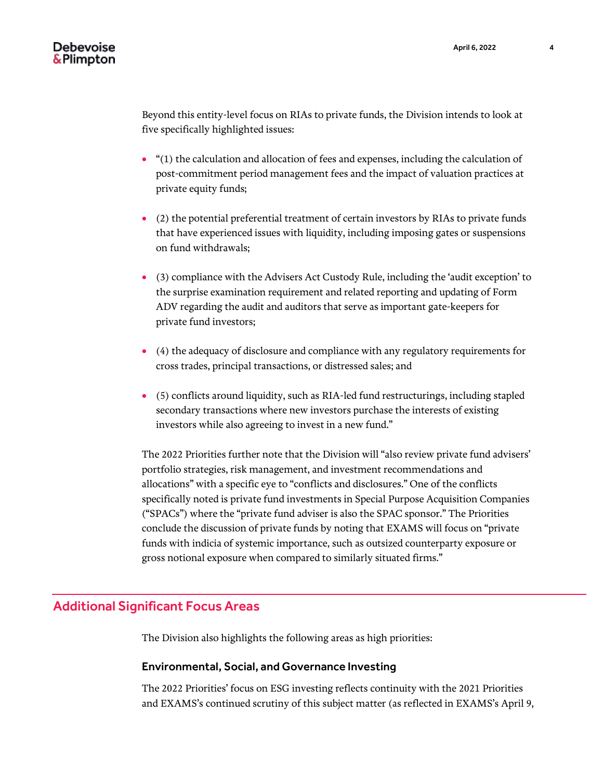Beyond this entity-level focus on RIAs to private funds, the Division intends to look at five specifically highlighted issues:

- "(1) the calculation and allocation of fees and expenses, including the calculation of post-commitment period management fees and the impact of valuation practices at private equity funds;
- (2) the potential preferential treatment of certain investors by RIAs to private funds that have experienced issues with liquidity, including imposing gates or suspensions on fund withdrawals;
- (3) compliance with the Advisers Act Custody Rule, including the 'audit exception' to the surprise examination requirement and related reporting and updating of Form ADV regarding the audit and auditors that serve as important gate-keepers for private fund investors;
- (4) the adequacy of disclosure and compliance with any regulatory requirements for cross trades, principal transactions, or distressed sales; and
- (5) conflicts around liquidity, such as RIA-led fund restructurings, including stapled secondary transactions where new investors purchase the interests of existing investors while also agreeing to invest in a new fund."

The 2022 Priorities further note that the Division will "also review private fund advisers' portfolio strategies, risk management, and investment recommendations and allocations" with a specific eye to "conflicts and disclosures." One of the conflicts specifically noted is private fund investments in Special Purpose Acquisition Companies ("SPACs") where the "private fund adviser is also the SPAC sponsor." The Priorities conclude the discussion of private funds by noting that EXAMS will focus on "private funds with indicia of systemic importance, such as outsized counterparty exposure or gross notional exposure when compared to similarly situated firms."

## Additional Significant Focus Areas

The Division also highlights the following areas as high priorities:

## Environmental, Social, and Governance Investing

The 2022 Priorities' focus on ESG investing reflects continuity with the 2021 Priorities and EXAMS's continued scrutiny of this subject matter (as reflected in EXAMS's April 9,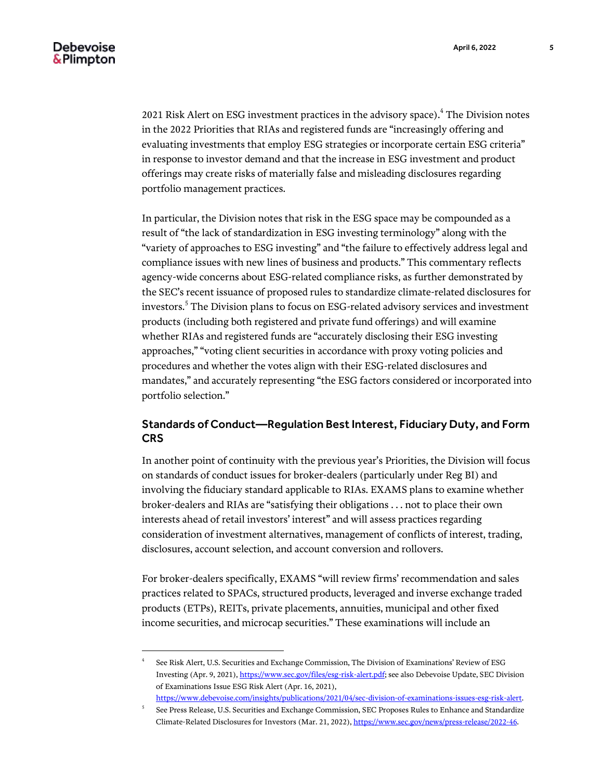l

2021 Risk Alert on ESG investment practices in the advisory space).<sup>4</sup> The Division notes in the 2022 Priorities that RIAs and registered funds are "increasingly offering and evaluating investments that employ ESG strategies or incorporate certain ESG criteria" in response to investor demand and that the increase in ESG investment and product offerings may create risks of materially false and misleading disclosures regarding portfolio management practices.

In particular, the Division notes that risk in the ESG space may be compounded as a result of "the lack of standardization in ESG investing terminology" along with the "variety of approaches to ESG investing" and "the failure to effectively address legal and compliance issues with new lines of business and products." This commentary reflects agency-wide concerns about ESG-related compliance risks, as further demonstrated by the SEC's recent issuance of proposed rules to standardize climate-related disclosures for investors. $^5$  The Division plans to focus on ESG-related advisory services and investment products (including both registered and private fund offerings) and will examine whether RIAs and registered funds are "accurately disclosing their ESG investing approaches," "voting client securities in accordance with proxy voting policies and procedures and whether the votes align with their ESG-related disclosures and mandates," and accurately representing "the ESG factors considered or incorporated into portfolio selection."

## Standards of Conduct—Regulation Best Interest, Fiduciary Duty, and Form **CRS**

In another point of continuity with the previous year's Priorities, the Division will focus on standards of conduct issues for broker-dealers (particularly under Reg BI) and involving the fiduciary standard applicable to RIAs. EXAMS plans to examine whether broker-dealers and RIAs are "satisfying their obligations . . . not to place their own interests ahead of retail investors' interest" and will assess practices regarding consideration of investment alternatives, management of conflicts of interest, trading, disclosures, account selection, and account conversion and rollovers.

For broker-dealers specifically, EXAMS "will review firms' recommendation and sales practices related to SPACs, structured products, leveraged and inverse exchange traded products (ETPs), REITs, private placements, annuities, municipal and other fixed income securities, and microcap securities." These examinations will include an

<sup>4</sup> See Risk Alert, U.S. Securities and Exchange Commission, The Division of Examinations' Review of ESG Investing (Apr. 9, 2021)[, https://www.sec.gov/files/esg-risk-alert.pdf;](https://www.sec.gov/files/esg-risk-alert.pdf) see also Debevoise Update, SEC Division of Examinations Issue ESG Risk Alert (Apr. 16, 2021),

[https://www.debevoise.com/insights/publications/2021/04/sec-division-of-examinations-issues-esg-risk-alert.](https://www.debevoise.com/insights/publications/2021/04/sec-division-of-examinations-issues-esg-risk-alert) 5 See Press Release, U.S. Securities and Exchange Commission, SEC Proposes Rules to Enhance and Standardize Climate-Related Disclosures for Investors (Mar. 21, 2022)[, https://www.sec.gov/news/press-release/2022-46.](https://www.sec.gov/news/press-release/2022-46)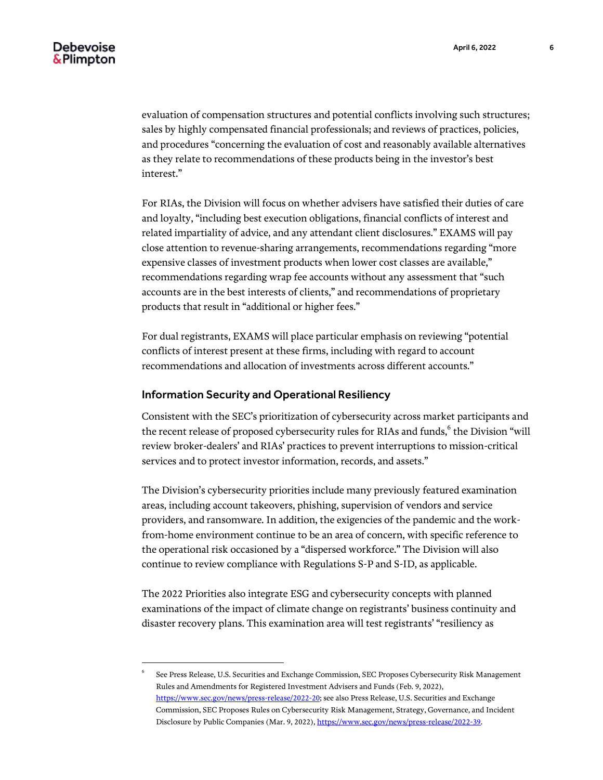evaluation of compensation structures and potential conflicts involving such structures; sales by highly compensated financial professionals; and reviews of practices, policies, and procedures "concerning the evaluation of cost and reasonably available alternatives as they relate to recommendations of these products being in the investor's best interest."

For RIAs, the Division will focus on whether advisers have satisfied their duties of care and loyalty, "including best execution obligations, financial conflicts of interest and related impartiality of advice, and any attendant client disclosures." EXAMS will pay close attention to revenue-sharing arrangements, recommendations regarding "more expensive classes of investment products when lower cost classes are available," recommendations regarding wrap fee accounts without any assessment that "such accounts are in the best interests of clients," and recommendations of proprietary products that result in "additional or higher fees."

For dual registrants, EXAMS will place particular emphasis on reviewing "potential conflicts of interest present at these firms, including with regard to account recommendations and allocation of investments across different accounts."

## Information Security and Operational Resiliency

l

Consistent with the SEC's prioritization of cybersecurity across market participants and the recent release of proposed cybersecurity rules for RIAs and funds,<sup>6</sup> the Division "will review broker-dealers' and RIAs' practices to prevent interruptions to mission-critical services and to protect investor information, records, and assets."

The Division's cybersecurity priorities include many previously featured examination areas, including account takeovers, phishing, supervision of vendors and service providers, and ransomware. In addition, the exigencies of the pandemic and the workfrom-home environment continue to be an area of concern, with specific reference to the operational risk occasioned by a "dispersed workforce." The Division will also continue to review compliance with Regulations S-P and S-ID, as applicable.

The 2022 Priorities also integrate ESG and cybersecurity concepts with planned examinations of the impact of climate change on registrants' business continuity and disaster recovery plans. This examination area will test registrants' "resiliency as

<sup>6</sup> See Press Release, U.S. Securities and Exchange Commission, SEC Proposes Cybersecurity Risk Management Rules and Amendments for Registered Investment Advisers and Funds (Feb. 9, 2022), [https://www.sec.gov/news/press-release/2022-20;](https://www.sec.gov/news/press-release/2022-20) see also Press Release, U.S. Securities and Exchange Commission, SEC Proposes Rules on Cybersecurity Risk Management, Strategy, Governance, and Incident Disclosure by Public Companies (Mar. 9, 2022)[, https://www.sec.gov/news/press-release/2022-39.](https://www.sec.gov/news/press-release/2022-39)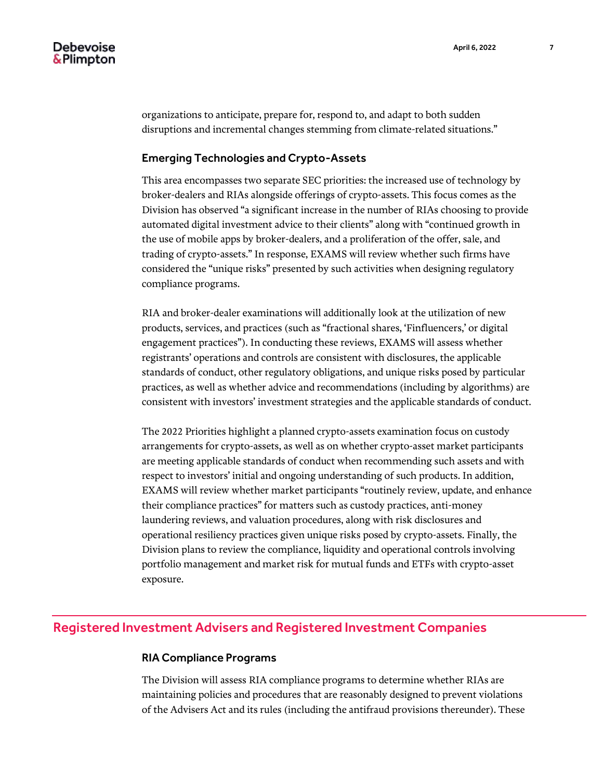organizations to anticipate, prepare for, respond to, and adapt to both sudden disruptions and incremental changes stemming from climate-related situations."

## Emerging Technologies and Crypto-Assets

This area encompasses two separate SEC priorities: the increased use of technology by broker-dealers and RIAs alongside offerings of crypto-assets. This focus comes as the Division has observed "a significant increase in the number of RIAs choosing to provide automated digital investment advice to their clients" along with "continued growth in the use of mobile apps by broker-dealers, and a proliferation of the offer, sale, and trading of crypto-assets." In response, EXAMS will review whether such firms have considered the "unique risks" presented by such activities when designing regulatory compliance programs.

RIA and broker-dealer examinations will additionally look at the utilization of new products, services, and practices (such as "fractional shares, 'Finfluencers,' or digital engagement practices"). In conducting these reviews, EXAMS will assess whether registrants' operations and controls are consistent with disclosures, the applicable standards of conduct, other regulatory obligations, and unique risks posed by particular practices, as well as whether advice and recommendations (including by algorithms) are consistent with investors' investment strategies and the applicable standards of conduct.

The 2022 Priorities highlight a planned crypto-assets examination focus on custody arrangements for crypto-assets, as well as on whether crypto-asset market participants are meeting applicable standards of conduct when recommending such assets and with respect to investors' initial and ongoing understanding of such products. In addition, EXAMS will review whether market participants "routinely review, update, and enhance their compliance practices" for matters such as custody practices, anti-money laundering reviews, and valuation procedures, along with risk disclosures and operational resiliency practices given unique risks posed by crypto-assets. Finally, the Division plans to review the compliance, liquidity and operational controls involving portfolio management and market risk for mutual funds and ETFs with crypto-asset exposure.

## Registered Investment Advisers and Registered Investment Companies

## RIA Compliance Programs

The Division will assess RIA compliance programs to determine whether RIAs are maintaining policies and procedures that are reasonably designed to prevent violations of the Advisers Act and its rules (including the antifraud provisions thereunder). These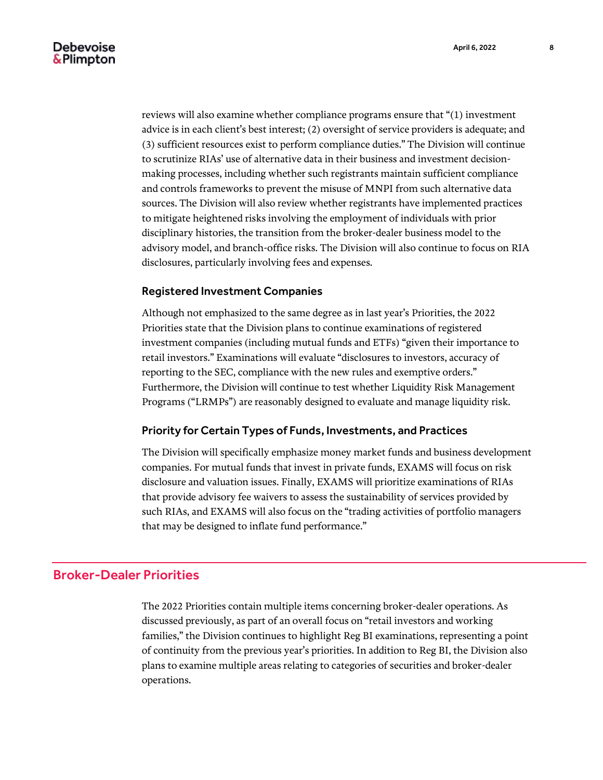reviews will also examine whether compliance programs ensure that "(1) investment advice is in each client's best interest; (2) oversight of service providers is adequate; and (3) sufficient resources exist to perform compliance duties." The Division will continue to scrutinize RIAs' use of alternative data in their business and investment decisionmaking processes, including whether such registrants maintain sufficient compliance and controls frameworks to prevent the misuse of MNPI from such alternative data sources. The Division will also review whether registrants have implemented practices to mitigate heightened risks involving the employment of individuals with prior disciplinary histories, the transition from the broker-dealer business model to the advisory model, and branch-office risks. The Division will also continue to focus on RIA disclosures, particularly involving fees and expenses.

## Registered Investment Companies

Although not emphasized to the same degree as in last year's Priorities, the 2022 Priorities state that the Division plans to continue examinations of registered investment companies (including mutual funds and ETFs) "given their importance to retail investors." Examinations will evaluate "disclosures to investors, accuracy of reporting to the SEC, compliance with the new rules and exemptive orders." Furthermore, the Division will continue to test whether Liquidity Risk Management Programs ("LRMPs") are reasonably designed to evaluate and manage liquidity risk.

## Priority for Certain Types of Funds, Investments, and Practices

The Division will specifically emphasize money market funds and business development companies. For mutual funds that invest in private funds, EXAMS will focus on risk disclosure and valuation issues. Finally, EXAMS will prioritize examinations of RIAs that provide advisory fee waivers to assess the sustainability of services provided by such RIAs, and EXAMS will also focus on the "trading activities of portfolio managers that may be designed to inflate fund performance."

## Broker-Dealer Priorities

The 2022 Priorities contain multiple items concerning broker-dealer operations. As discussed previously, as part of an overall focus on "retail investors and working families," the Division continues to highlight Reg BI examinations, representing a point of continuity from the previous year's priorities. In addition to Reg BI, the Division also plans to examine multiple areas relating to categories of securities and broker-dealer operations.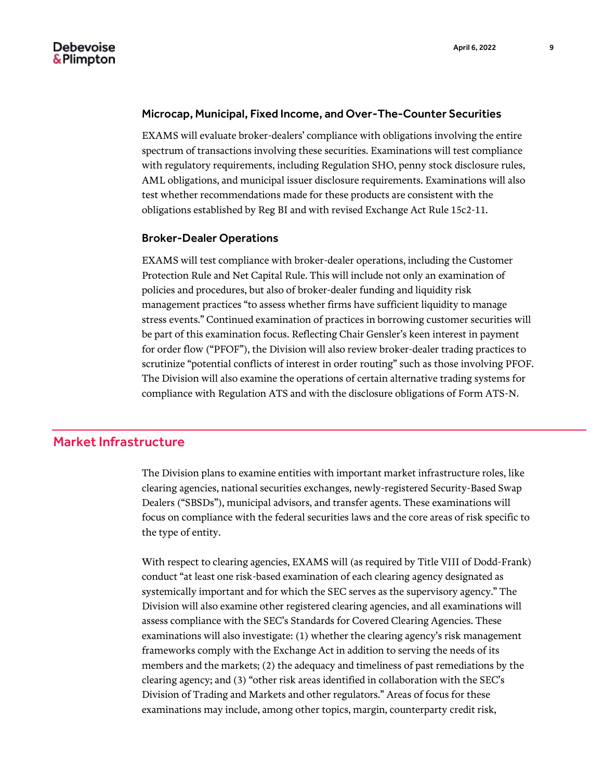#### Microcap, Municipal, Fixed Income, and Over-The-Counter Securities

EXAMS will evaluate broker-dealers' compliance with obligations involving the entire spectrum of transactions involving these securities. Examinations will test compliance with regulatory requirements, including Regulation SHO, penny stock disclosure rules, AML obligations, and municipal issuer disclosure requirements. Examinations will also test whether recommendations made for these products are consistent with the obligations established by Reg BI and with revised Exchange Act Rule 15c2-11.

#### Broker-Dealer Operations

EXAMS will test compliance with broker-dealer operations, including the Customer Protection Rule and Net Capital Rule. This will include not only an examination of policies and procedures, but also of broker-dealer funding and liquidity risk management practices "to assess whether firms have sufficient liquidity to manage stress events." Continued examination of practices in borrowing customer securities will be part of this examination focus. Reflecting Chair Gensler's keen interest in payment for order flow ("PFOF"), the Division will also review broker-dealer trading practices to scrutinize "potential conflicts of interest in order routing" such as those involving PFOF. The Division will also examine the operations of certain alternative trading systems for compliance with Regulation ATS and with the disclosure obligations of Form ATS-N.

## Market Infrastructure

The Division plans to examine entities with important market infrastructure roles, like clearing agencies, national securities exchanges, newly-registered Security-Based Swap Dealers ("SBSDs"), municipal advisors, and transfer agents. These examinations will focus on compliance with the federal securities laws and the core areas of risk specific to the type of entity.

With respect to clearing agencies, EXAMS will (as required by Title VIII of Dodd-Frank) conduct "at least one risk-based examination of each clearing agency designated as systemically important and for which the SEC serves as the supervisory agency." The Division will also examine other registered clearing agencies, and all examinations will assess compliance with the SEC's Standards for Covered Clearing Agencies. These examinations will also investigate: (1) whether the clearing agency's risk management frameworks comply with the Exchange Act in addition to serving the needs of its members and the markets; (2) the adequacy and timeliness of past remediations by the clearing agency; and (3) "other risk areas identified in collaboration with the SEC's Division of Trading and Markets and other regulators." Areas of focus for these examinations may include, among other topics, margin, counterparty credit risk,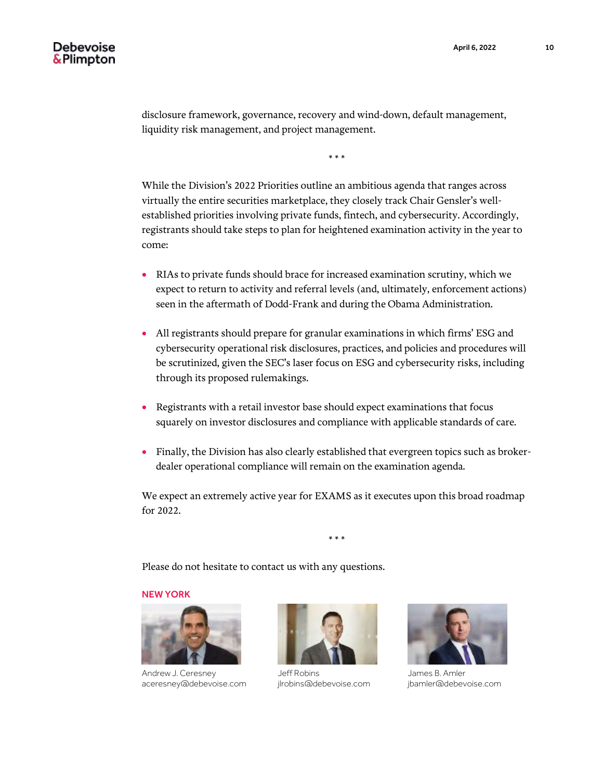disclosure framework, governance, recovery and wind-down, default management, liquidity risk management, and project management.

\* \* \*

While the Division's 2022 Priorities outline an ambitious agenda that ranges across virtually the entire securities marketplace, they closely track Chair Gensler's wellestablished priorities involving private funds, fintech, and cybersecurity. Accordingly, registrants should take steps to plan for heightened examination activity in the year to come:

- RIAs to private funds should brace for increased examination scrutiny, which we expect to return to activity and referral levels (and, ultimately, enforcement actions) seen in the aftermath of Dodd-Frank and during the Obama Administration.
- All registrants should prepare for granular examinations in which firms' ESG and cybersecurity operational risk disclosures, practices, and policies and procedures will be scrutinized, given the SEC's laser focus on ESG and cybersecurity risks, including through its proposed rulemakings.
- Registrants with a retail investor base should expect examinations that focus squarely on investor disclosures and compliance with applicable standards of care.
- Finally, the Division has also clearly established that evergreen topics such as brokerdealer operational compliance will remain on the examination agenda.

We expect an extremely active year for EXAMS as it executes upon this broad roadmap for 2022.

\* \* \*

Please do not hesitate to contact us with any questions.

#### NEW YORK



Andrew J. Ceresney aceresney@debevoise.com



Jeff Robins jlrobins@debevoise.com



James B. Amler jbamler@debevoise.com